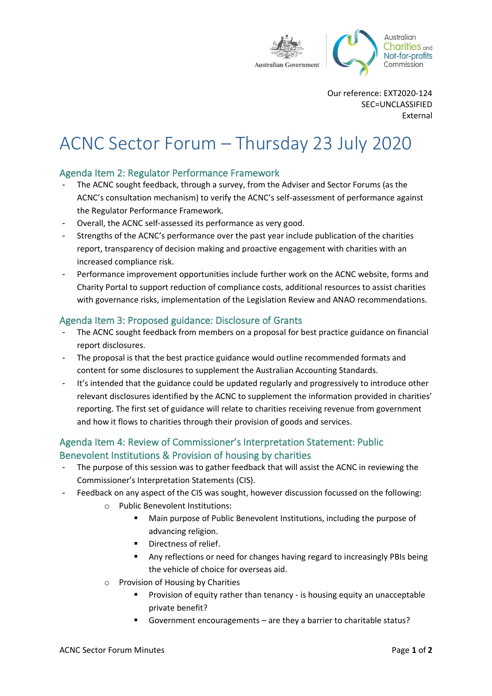

Our reference: EXT2020-124 SEC=UNCLASSIFIED External

# ACNC Sector Forum – Thursday 23 July 2020

# Agenda Item 2: Regulator Performance Framework

- The ACNC sought feedback, through a survey, from the Adviser and Sector Forums (as the ACNC's consultation mechanism) to verify the ACNC's self-assessment of performance against the Regulator Performance Framework.
- Overall, the ACNC self-assessed its performance as very good.
- Strengths of the ACNC's performance over the past year include publication of the charities report, transparency of decision making and proactive engagement with charities with an increased compliance risk.
- Performance improvement opportunities include further work on the ACNC website, forms and Charity Portal to support reduction of compliance costs, additional resources to assist charities with governance risks, implementation of the Legislation Review and ANAO recommendations.

#### Agenda Item 3: Proposed guidance: Disclosure of Grants

- The ACNC sought feedback from members on a proposal for best practice guidance on financial report disclosures.
- The proposal is that the best practice guidance would outline recommended formats and content for some disclosures to supplement the Australian Accounting Standards.
- It's intended that the guidance could be updated regularly and progressively to introduce other relevant disclosures identified by the ACNC to supplement the information provided in charities' reporting. The first set of guidance will relate to charities receiving revenue from government and how it flows to charities through their provision of goods and services.

# Agenda Item 4: Review of Commissioner's Interpretation Statement: Public Benevolent Institutions & Provision of housing by charities

- The purpose of this session was to gather feedback that will assist the ACNC in reviewing the Commissioner's Interpretation Statements (CIS).
- Feedback on any aspect of the CIS was sought, however discussion focussed on the following:
	- o Public Benevolent Institutions:
		- Main purpose of Public Benevolent Institutions, including the purpose of advancing religion.
		- Directness of relief.
		- Any reflections or need for changes having regard to increasingly PBIs being the vehicle of choice for overseas aid.
	- o Provision of Housing by Charities
		- Provision of equity rather than tenancy is housing equity an unacceptable private benefit?
		- Government encouragements are they a barrier to charitable status?